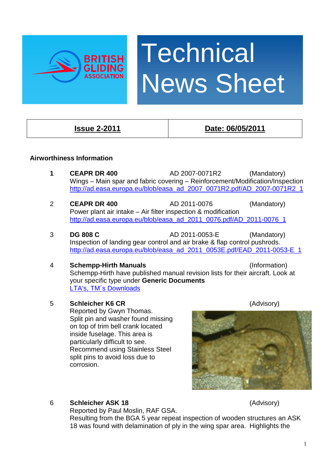

# **Technical** News Sheet

## **Issue 2-2011 Date: 06/05/2011**

### **Airworthiness Information**

- **1 CEAPR DR 400** AD 2007-0071R2 (Mandatory) Wings – Main spar and fabric covering – Reinforcement/Modification/Inspection [http://ad.easa.europa.eu/blob/easa\\_ad\\_2007\\_0071R2.pdf/AD\\_2007-0071R2\\_1](http://ad.easa.europa.eu/blob/easa_ad_2007_0071R2.pdf/AD_2007-0071R2_1)
- 2 **CEAPR DR 400** AD 2011-0076 (Mandatory) Power plant air intake – Air filter inspection & modification [http://ad.easa.europa.eu/blob/easa\\_ad\\_2011\\_0076.pdf/AD\\_2011-0076\\_1](http://ad.easa.europa.eu/blob/easa_ad_2011_0076.pdf/AD_2011-0076_1)
- 3 **DG 808 C** AD 2011-0053-E (Mandatory) Inspection of landing gear control and air brake & flap control pushrods. [http://ad.easa.europa.eu/blob/easa\\_ad\\_2011\\_0053E.pdf/EAD\\_2011-0053-E\\_1](http://ad.easa.europa.eu/blob/easa_ad_2011_0053E.pdf/EAD_2011-0053-E_1)

#### 4 **Schempp-Hirth Manuals** (Information) Schempp-Hirth have published manual revision lists for their aircraft. Look at your specific type under **Generic Documents** [LTA's, TM´s Downloads](http://www.schempp-hirth.com/index.php?id=30)

#### 5 **Schleicher K6 CR** (Advisory)

Reported by Gwyn Thomas. Split pin and washer found missing on top of trim bell crank located inside fuselage. This area is particularly difficult to see. Recommend using Stainless Steel split pins to avoid loss due to corrosion.



#### 6 **Schleicher ASK 18** (Advisory)

Reported by Paul Moslin, RAF GSA.

Resulting from the BGA 5 year repeat inspection of wooden structures an ASK 18 was found with delamination of ply in the wing spar area. Highlights the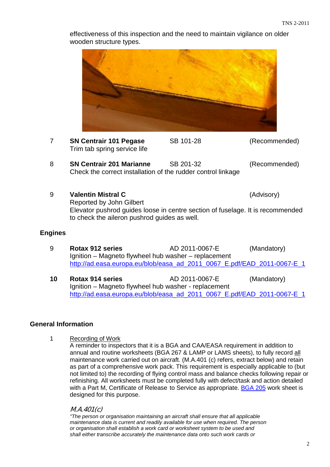

effectiveness of this inspection and the need to maintain vigilance on older wooden structure types.

#### **General Information**

1 Recording of Work

A reminder to inspectors that it is a BGA and CAA/EASA requirement in addition to annual and routine worksheets (BGA 267 & LAMP or LAMS sheets), to fully record all maintenance work carried out on aircraft. (M.A.401 (c) refers, extract below) and retain as part of a comprehensive work pack. This requirement is especially applicable to (but not limited to) the recording of flying control mass and balance checks following repair or refinishing. All worksheets must be completed fully with defect/task and action detailed with a Part M, Certificate of Release to Service as appropriate. [BGA 205](http://www.gliding.co.uk/bgainfo/technical/ampmanual/1-3a4.pdf) work sheet is designed for this purpose.

#### M.A.401(c)

*"The person or organisation maintaining an aircraft shall ensure that all applicable maintenance data is current and readily available for use when required. The person or organisation shall establish a work card or worksheet system to be used and shall either transcribe accurately the maintenance data onto such work cards or*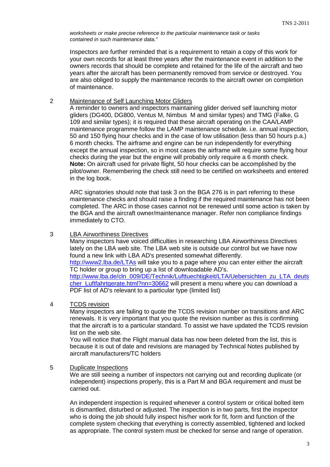*worksheets or make precise reference to the particular maintenance task or tasks contained in such maintenance data."* 

Inspectors are further reminded that is a requirement to retain a copy of this work for your own records for at least three years after the maintenance event in addition to the owners records that should be complete and retained for the life of the aircraft and two years after the aircraft has been permanently removed from service or destroyed. You are also obliged to supply the maintenance records to the aircraft owner on completion of maintenance.

#### 2 Maintenance of Self Launching Motor Gliders

A reminder to owners and inspectors maintaining glider derived self launching motor gliders (DG400, DG800, Ventus M, Nimbus M and similar types) and TMG (Falke, G 109 and similar types); it is required that these aircraft operating on the CAA/LAMP maintenance programme follow the LAMP maintenance schedule. i.e. annual inspection, 50 and 150 flying hour checks and in the case of low utilisation (less than 50 hours p.a.) 6 month checks. The airframe and engine can be run independently for everything except the annual inspection, so in most cases the airframe will require some flying hour checks during the year but the engine will probably only require a 6 month check. **Note:** On aircraft used for private flight, 50 hour checks can be accomplished by the pilot/owner. Remembering the check still need to be certified on worksheets and entered in the log book.

ARC signatories should note that task 3 on the BGA 276 is in part referring to these maintenance checks and should raise a finding if the required maintenance has not been completed. The ARC in those cases cannot not be renewed until some action is taken by the BGA and the aircraft owner/maintenance manager. Refer non compliance findings immediately to CTO.

#### 3 LBA Airworthiness Directives

Many inspectors have voiced difficulties in researching LBA Airworthiness Directives lately on the LBA web site. The LBA web site is outside our control but we have now found a new link with LBA AD's presented somewhat differently. <http://www2.lba.de/LTAs> will take you to a page where you can enter either the aircraft TC holder or group to bring up a list of downloadable AD's. [http://www.lba.de/cln\\_009/DE/Technik/Lufttuechtigkeit/LTA/Uebersichten\\_zu\\_LTA\\_deuts](http://www.lba.de/cln_009/DE/Technik/Lufttuechtigkeit/LTA/Uebersichten_zu_LTA_deutscher_Luftfahrtgerate.html?nn=30662) [cher\\_Luftfahrtgerate.html?nn=30662](http://www.lba.de/cln_009/DE/Technik/Lufttuechtigkeit/LTA/Uebersichten_zu_LTA_deutscher_Luftfahrtgerate.html?nn=30662) will present a menu where you can download a PDF list of AD's relevant to a particular type (limited list)

#### 4 TCDS revision

Many inspectors are failing to quote the TCDS revision number on transitions and ARC renewals. It is very important that you quote the revision number as this is confirming that the aircraft is to a particular standard. To assist we have updated the TCDS revision list on the web site.

 You will notice that the Flight manual data has now been deleted from the list, this is because it is out of date and revisions are managed by Technical Notes published by aircraft manufacturers/TC holders

#### 5 Duplicate Inspections

We are still seeing a number of inspectors not carrying out and recording duplicate (or independent) inspections properly, this is a Part M and BGA requirement and must be carried out.

An independent inspection is required whenever a control system or critical bolted item is dismantled, disturbed or adjusted. The inspection is in two parts, first the inspector who is doing the job should fully inspect his/her work for fit, form and function of the complete system checking that everything is correctly assembled, tightened and locked as appropriate. The control system must be checked for sense and range of operation.